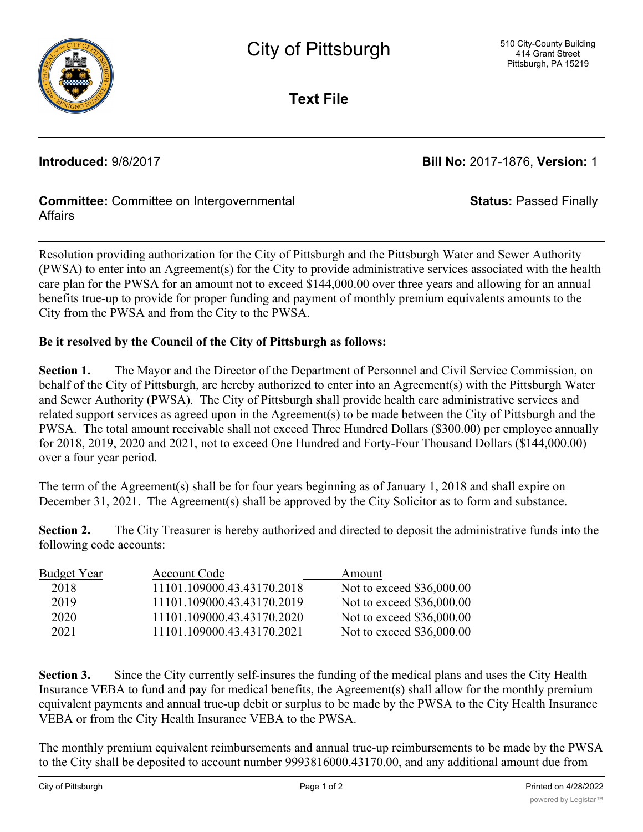

**Text File**

**Introduced:** 9/8/2017 **Bill No:** 2017-1876, **Version:** 1

**Status:** Passed Finally

## **Committee:** Committee on Intergovernmental Affairs

Resolution providing authorization for the City of Pittsburgh and the Pittsburgh Water and Sewer Authority (PWSA) to enter into an Agreement(s) for the City to provide administrative services associated with the health care plan for the PWSA for an amount not to exceed \$144,000.00 over three years and allowing for an annual benefits true-up to provide for proper funding and payment of monthly premium equivalents amounts to the City from the PWSA and from the City to the PWSA.

## **Be it resolved by the Council of the City of Pittsburgh as follows:**

**Section 1.** The Mayor and the Director of the Department of Personnel and Civil Service Commission, on behalf of the City of Pittsburgh, are hereby authorized to enter into an Agreement(s) with the Pittsburgh Water and Sewer Authority (PWSA). The City of Pittsburgh shall provide health care administrative services and related support services as agreed upon in the Agreement(s) to be made between the City of Pittsburgh and the PWSA. The total amount receivable shall not exceed Three Hundred Dollars (\$300.00) per employee annually for 2018, 2019, 2020 and 2021, not to exceed One Hundred and Forty-Four Thousand Dollars (\$144,000.00) over a four year period.

The term of the Agreement(s) shall be for four years beginning as of January 1, 2018 and shall expire on December 31, 2021. The Agreement(s) shall be approved by the City Solicitor as to form and substance.

**Section 2.** The City Treasurer is hereby authorized and directed to deposit the administrative funds into the following code accounts:

| <b>Budget Year</b> | Account Code               | Amount                    |
|--------------------|----------------------------|---------------------------|
| 2018               | 11101.109000.43.43170.2018 | Not to exceed \$36,000.00 |
| 2019               | 11101.109000.43.43170.2019 | Not to exceed \$36,000.00 |
| 2020               | 11101.109000.43.43170.2020 | Not to exceed \$36,000.00 |
| 2021               | 11101.109000.43.43170.2021 | Not to exceed \$36,000.00 |

**Section 3.** Since the City currently self-insures the funding of the medical plans and uses the City Health Insurance VEBA to fund and pay for medical benefits, the Agreement(s) shall allow for the monthly premium equivalent payments and annual true-up debit or surplus to be made by the PWSA to the City Health Insurance VEBA or from the City Health Insurance VEBA to the PWSA.

The monthly premium equivalent reimbursements and annual true-up reimbursements to be made by the PWSA to the City shall be deposited to account number 9993816000.43170.00, and any additional amount due from